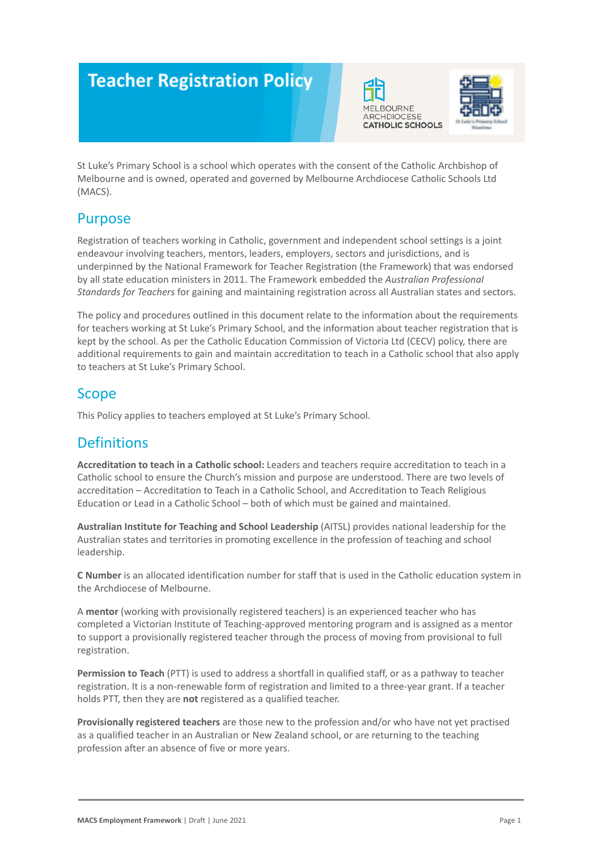# **Teacher Registration Policy**





St Luke's Primary School is a school which operates with the consent of the Catholic Archbishop of Melbourne and is owned, operated and governed by Melbourne Archdiocese Catholic Schools Ltd (MACS).

### **Purpose**

Registration of teachers working in Catholic, government and independent school settings is a joint endeavour involving teachers, mentors, leaders, employers, sectors and jurisdictions, and is underpinned by the National Framework for Teacher Registration (the Framework) that was endorsed by all state education ministers in 2011. The Framework embedded the *Australian Professional Standards for Teachers* for gaining and maintaining registration across all Australian states and sectors.

The policy and procedures outlined in this document relate to the information about the requirements for teachers working at St Luke's Primary School, and the information about teacher registration that is kept by the school. As per the Catholic Education Commission of Victoria Ltd (CECV) policy, there are additional requirements to gain and maintain accreditation to teach in a Catholic school that also apply to teachers at St Luke's Primary School.

# Scope

This Policy applies to teachers employed at St Luke's Primary School.

# **Definitions**

**Accreditation to teach in a Catholic school:** Leaders and teachers require accreditation to teach in a Catholic school to ensure the Church's mission and purpose are understood. There are two levels of accreditation – Accreditation to Teach in a Catholic School, and Accreditation to Teach Religious Education or Lead in a Catholic School – both of which must be gained and maintained.

**Australian Institute for Teaching and School Leadership** (AITSL) provides national leadership for the Australian states and territories in promoting excellence in the profession of teaching and school leadership.

**C Number** is an allocated identification number for staff that is used in the Catholic education system in the Archdiocese of Melbourne.

A **mentor** (working with provisionally registered teachers) is an experienced teacher who has completed a Victorian Institute of Teaching-approved mentoring program and is assigned as a mentor to support a provisionally registered teacher through the process of moving from provisional to full registration.

**Permission to Teach** (PTT) is used to address a shortfall in qualified staff, or as a pathway to teacher registration. It is a non-renewable form of registration and limited to a three-year grant. If a teacher holds PTT, then they are **not** registered as a qualified teacher.

**Provisionally registered teachers** are those new to the profession and/or who have not yet practised as a qualified teacher in an Australian or New Zealand school, or are returning to the teaching profession after an absence of five or more years.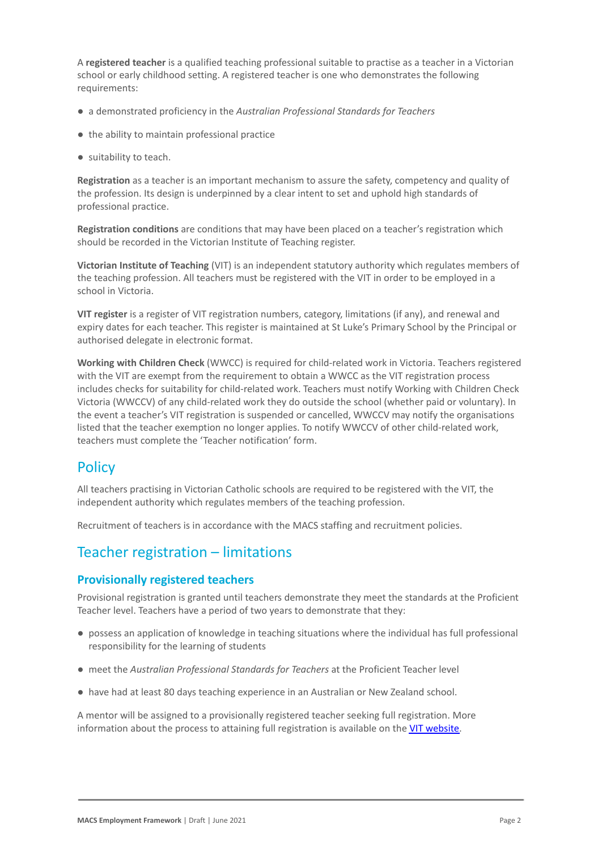A **registered teacher** is a qualified teaching professional suitable to practise as a teacher in a Victorian school or early childhood setting. A registered teacher is one who demonstrates the following requirements:

- a demonstrated proficiency in the *Australian Professional Standards for Teachers*
- the ability to maintain professional practice
- suitability to teach.

**Registration** as a teacher is an important mechanism to assure the safety, competency and quality of the profession. Its design is underpinned by a clear intent to set and uphold high standards of professional practice.

**Registration conditions** are conditions that may have been placed on a teacher's registration which should be recorded in the Victorian Institute of Teaching register.

**Victorian Institute of Teaching** (VIT) is an independent statutory authority which regulates members of the teaching profession. All teachers must be registered with the VIT in order to be employed in a school in Victoria.

**VIT register** is a register of VIT registration numbers, category, limitations (if any), and renewal and expiry dates for each teacher. This register is maintained at St Luke's Primary School by the Principal or authorised delegate in electronic format.

**Working with Children Check** (WWCC) is required for child-related work in Victoria. Teachers registered with the VIT are exempt from the requirement to obtain a WWCC as the VIT registration process includes checks for suitability for child-related work. Teachers must notify Working with Children Check Victoria (WWCCV) of any child-related work they do outside the school (whether paid or voluntary). In the event a teacher's VIT registration is suspended or cancelled, WWCCV may notify the organisations listed that the teacher exemption no longer applies. To notify WWCCV of other child-related work, teachers must complete the 'Teacher notification' form.

### **Policy**

All teachers practising in Victorian Catholic schools are required to be registered with the VIT, the independent authority which regulates members of the teaching profession.

Recruitment of teachers is in accordance with the MACS staffing and recruitment policies.

# Teacher registration – limitations

#### **Provisionally registered teachers**

Provisional registration is granted until teachers demonstrate they meet the standards at the Proficient Teacher level. Teachers have a period of two years to demonstrate that they:

- possess an application of knowledge in teaching situations where the individual has full professional responsibility for the learning of students
- meet the *Australian Professional Standards for Teachers* at the Proficient Teacher level
- have had at least 80 days teaching experience in an Australian or New Zealand school.

A mentor will be assigned to a provisionally registered teacher seeking full registration. More information about the process to attaining full registration is available on the [VIT website.](https://www.vit.vic.edu.au/registered-teacher/moving-to-full-registration)